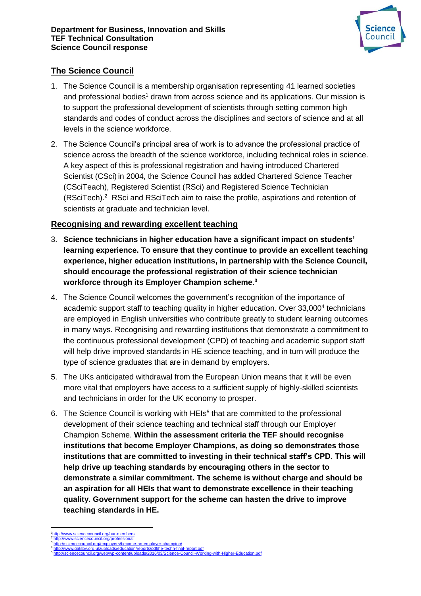

## **The Science Council**

- 1. The Science Council is a membership organisation representing 41 learned societies and professional bodies<sup>1</sup> drawn from across science and its applications. Our mission is to support the professional development of scientists through setting common high standards and codes of conduct across the disciplines and sectors of science and at all levels in the science workforce.
- 2. The Science Council's principal area of work is to advance the professional practice of science across the breadth of the science workforce, including technical roles in science. A key aspect of this is professional registration and having introduced Chartered Scientist (CSci) in 2004, the Science Council has added Chartered Science Teacher (CSciTeach), Registered Scientist (RSci) and Registered Science Technician (RSciTech).<sup>2</sup> RSci and RSciTech aim to raise the profile, aspirations and retention of scientists at graduate and technician level.

## **Recognising and rewarding excellent teaching**

- 3. **Science technicians in higher education have a significant impact on students' learning experience. To ensure that they continue to provide an excellent teaching experience, higher education institutions, in partnership with the Science Council, should encourage the professional registration of their science technician workforce through its Employer Champion scheme.<sup>3</sup>**
- 4. The Science Council welcomes the government's recognition of the importance of academic support staff to teaching quality in higher education. Over 33,000<sup>4</sup> technicians are employed in English universities who contribute greatly to student learning outcomes in many ways. Recognising and rewarding institutions that demonstrate a commitment to the continuous professional development (CPD) of teaching and academic support staff will help drive improved standards in HE science teaching, and in turn will produce the type of science graduates that are in demand by employers.
- 5. The UKs anticipated withdrawal from the European Union means that it will be even more vital that employers have access to a sufficient supply of highly-skilled scientists and technicians in order for the UK economy to prosper.
- 6. The Science Council is working with HEIs<sup>5</sup> that are committed to the professional development of their science teaching and technical staff through our Employer Champion Scheme. **Within the assessment criteria the TEF should recognise institutions that become Employer Champions, as doing so demonstrates those institutions that are committed to investing in their technical staff's CPD. This will help drive up teaching standards by encouraging others in the sector to demonstrate a similar commitment. The scheme is without charge and should be an aspiration for all HEIs that want to demonstrate excellence in their teaching quality. Government support for the scheme can hasten the drive to improve teaching standards in HE.**

<sup>1</sup> 1 www.sciencecouncil.org/our-members 2 <http://www.sciencecouncil.org/professional>

<sup>3</sup> <http://sciencecouncil.org/employers/become-an-employer-champion/> <http://www.gatsby.org.uk/uploads/education/reports/pdf/he-techn-final-report.pdf>

<sup>4</sup> 5 with-Higher-Education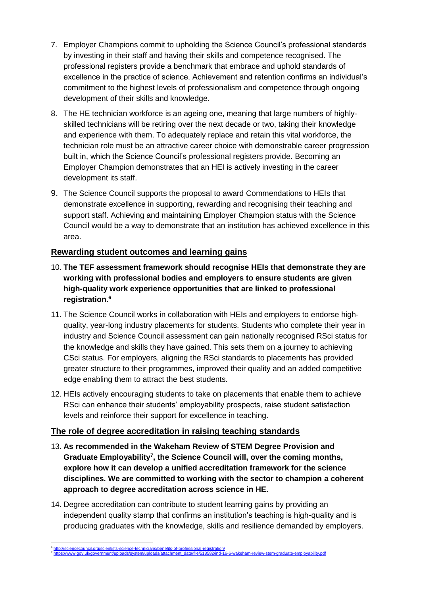- 7. Employer Champions commit to upholding the Science Council's professional standards by investing in their staff and having their skills and competence recognised. The professional registers provide a benchmark that embrace and uphold standards of excellence in the practice of science. Achievement and retention confirms an individual's commitment to the highest levels of professionalism and competence through ongoing development of their skills and knowledge.
- 8. The HE technician workforce is an ageing one, meaning that large numbers of highlyskilled technicians will be retiring over the next decade or two, taking their knowledge and experience with them. To adequately replace and retain this vital workforce, the technician role must be an attractive career choice with demonstrable career progression built in, which the Science Council's professional registers provide. Becoming an Employer Champion demonstrates that an HEI is actively investing in the career development its staff.
- 9. The Science Council supports the proposal to award Commendations to HEIs that demonstrate excellence in supporting, rewarding and recognising their teaching and support staff. Achieving and maintaining Employer Champion status with the Science Council would be a way to demonstrate that an institution has achieved excellence in this area.

## **Rewarding student outcomes and learning gains**

- 10. **The TEF assessment framework should recognise HEIs that demonstrate they are working with professional bodies and employers to ensure students are given high-quality work experience opportunities that are linked to professional registration.<sup>6</sup>**
- 11. The Science Council works in collaboration with HEIs and employers to endorse highquality, year-long industry placements for students. Students who complete their year in industry and Science Council assessment can gain nationally recognised RSci status for the knowledge and skills they have gained. This sets them on a journey to achieving CSci status. For employers, aligning the RSci standards to placements has provided greater structure to their programmes, improved their quality and an added competitive edge enabling them to attract the best students.
- 12. HEIs actively encouraging students to take on placements that enable them to achieve RSci can enhance their students' employability prospects, raise student satisfaction levels and reinforce their support for excellence in teaching.

# **The role of degree accreditation in raising teaching standards**

- 13. **As recommended in the Wakeham Review of STEM Degree Provision and Graduate Employability<sup>7</sup> , the Science Council will, over the coming months, explore how it can develop a unified accreditation framework for the science disciplines. We are committed to working with the sector to champion a coherent approach to degree accreditation across science in HE.**
- 14. Degree accreditation can contribute to student learning gains by providing an independent quality stamp that confirms an institution's teaching is high-quality and is producing graduates with the knowledge, skills and resilience demanded by employers.

<sup>1</sup> 6 hefits-of-prof 7  $\frac{1}{2}$ ind-16-6-wakeham-review-stem-graduate-employability.pdf